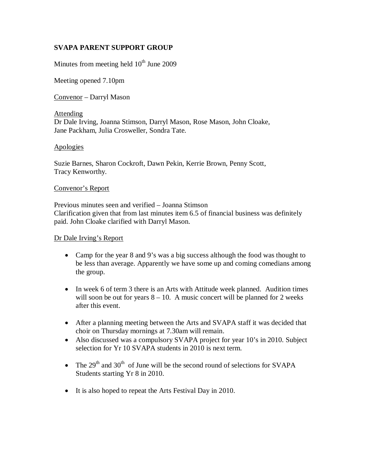# **SVAPA PARENT SUPPORT GROUP**

Minutes from meeting held  $10<sup>th</sup>$  June 2009

Meeting opened 7.10pm

Convenor – Darryl Mason

Attending Dr Dale Irving, Joanna Stimson, Darryl Mason, Rose Mason, John Cloake, Jane Packham, Julia Crosweller, Sondra Tate.

#### Apologies

Suzie Barnes, Sharon Cockroft, Dawn Pekin, Kerrie Brown, Penny Scott, Tracy Kenworthy.

#### Convenor's Report

Previous minutes seen and verified – Joanna Stimson Clarification given that from last minutes item 6.5 of financial business was definitely paid. John Cloake clarified with Darryl Mason.

#### Dr Dale Irving's Report

- Camp for the year 8 and 9's was a big success although the food was thought to be less than average. Apparently we have some up and coming comedians among the group.
- In week 6 of term 3 there is an Arts with Attitude week planned. Audition times will soon be out for years  $8 - 10$ . A music concert will be planned for 2 weeks after this event.
- After a planning meeting between the Arts and SVAPA staff it was decided that choir on Thursday mornings at 7.30am will remain.
- Also discussed was a compulsory SVAPA project for year 10's in 2010. Subject selection for Yr 10 SVAPA students in 2010 is next term.
- The  $29<sup>th</sup>$  and  $30<sup>th</sup>$  of June will be the second round of selections for SVAPA Students starting Yr 8 in 2010.
- It is also hoped to repeat the Arts Festival Day in 2010.